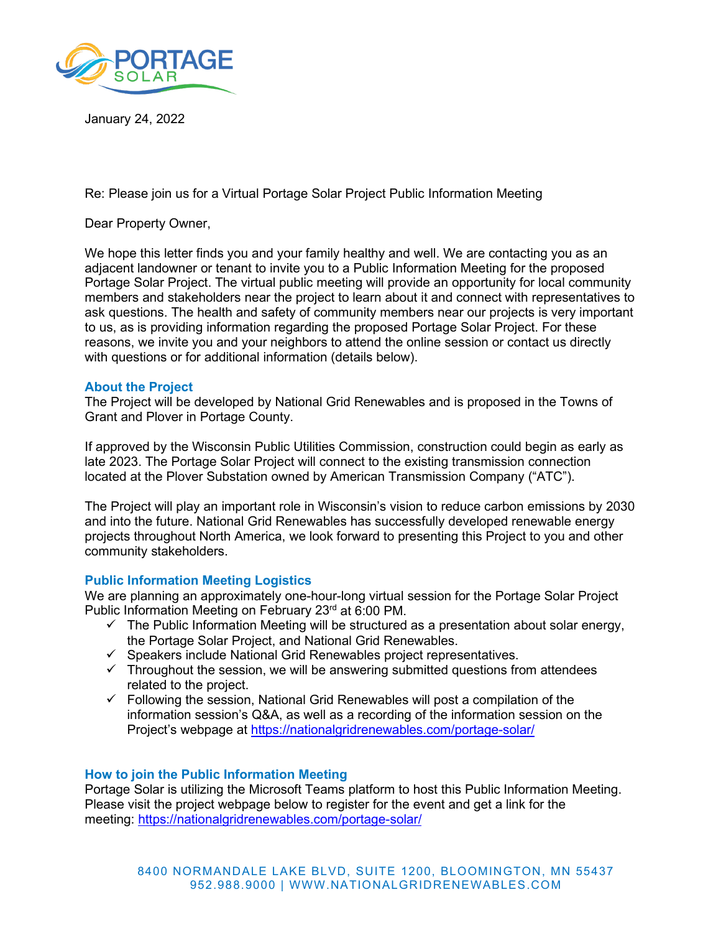

January 24, 2022

Re: Please join us for a Virtual Portage Solar Project Public Information Meeting

Dear Property Owner,

We hope this letter finds you and your family healthy and well. We are contacting you as an adjacent landowner or tenant to invite you to a Public Information Meeting for the proposed Portage Solar Project. The virtual public meeting will provide an opportunity for local community members and stakeholders near the project to learn about it and connect with representatives to ask questions. The health and safety of community members near our projects is very important to us, as is providing information regarding the proposed Portage Solar Project. For these reasons, we invite you and your neighbors to attend the online session or contact us directly with questions or for additional information (details below).

### **About the Project**

The Project will be developed by National Grid Renewables and is proposed in the Towns of Grant and Plover in Portage County.

If approved by the Wisconsin Public Utilities Commission, construction could begin as early as late 2023. The Portage Solar Project will connect to the existing transmission connection located at the Plover Substation owned by American Transmission Company ("ATC").

The Project will play an important role in Wisconsin's vision to reduce carbon emissions by 2030 and into the future. National Grid Renewables has successfully developed renewable energy projects throughout North America, we look forward to presenting this Project to you and other community stakeholders.

### **Public Information Meeting Logistics**

We are planning an approximately one-hour-long virtual session for the Portage Solar Project Public Information Meeting on February 23rd at 6:00 PM.

- $\checkmark$  The Public Information Meeting will be structured as a presentation about solar energy, the Portage Solar Project, and National Grid Renewables.
- $\checkmark$  Speakers include National Grid Renewables project representatives.
- $\checkmark$  Throughout the session, we will be answering submitted questions from attendees related to the project.
- $\checkmark$  Following the session, National Grid Renewables will post a compilation of the information session's Q&A, as well as a recording of the information session on the Project's webpage at <https://nationalgridrenewables.com/portage-solar/>

# **How to join the Public Information Meeting**

Portage Solar is utilizing the Microsoft Teams platform to host this Public Information Meeting. Please visit the project webpage below to register for the event and get a link for the meeting: <https://nationalgridrenewables.com/portage-solar/>